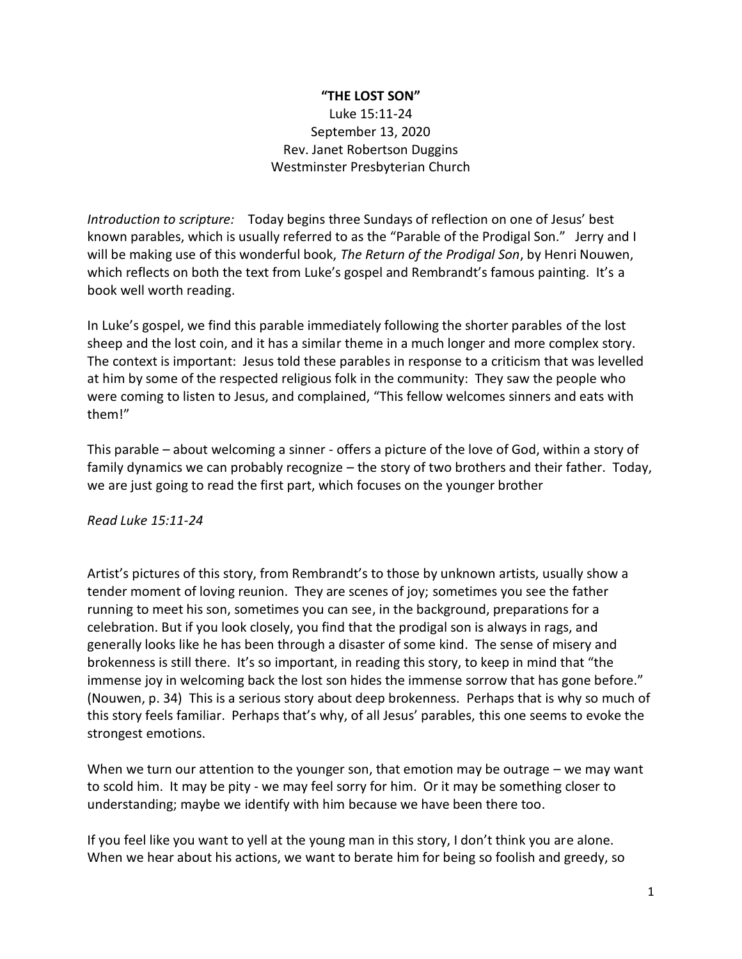## **"THE LOST SON"**

Luke 15:11-24 September 13, 2020 Rev. Janet Robertson Duggins Westminster Presbyterian Church

*Introduction to scripture:* Today begins three Sundays of reflection on one of Jesus' best known parables, which is usually referred to as the "Parable of the Prodigal Son." Jerry and I will be making use of this wonderful book, *The Return of the Prodigal Son*, by Henri Nouwen, which reflects on both the text from Luke's gospel and Rembrandt's famous painting. It's a book well worth reading.

In Luke's gospel, we find this parable immediately following the shorter parables of the lost sheep and the lost coin, and it has a similar theme in a much longer and more complex story. The context is important: Jesus told these parables in response to a criticism that was levelled at him by some of the respected religious folk in the community: They saw the people who were coming to listen to Jesus, and complained, "This fellow welcomes sinners and eats with them!"

This parable – about welcoming a sinner - offers a picture of the love of God, within a story of family dynamics we can probably recognize – the story of two brothers and their father. Today, we are just going to read the first part, which focuses on the younger brother

*Read Luke 15:11-24*

Artist's pictures of this story, from Rembrandt's to those by unknown artists, usually show a tender moment of loving reunion. They are scenes of joy; sometimes you see the father running to meet his son, sometimes you can see, in the background, preparations for a celebration. But if you look closely, you find that the prodigal son is always in rags, and generally looks like he has been through a disaster of some kind. The sense of misery and brokenness is still there. It's so important, in reading this story, to keep in mind that "the immense joy in welcoming back the lost son hides the immense sorrow that has gone before." (Nouwen, p. 34) This is a serious story about deep brokenness. Perhaps that is why so much of this story feels familiar. Perhaps that's why, of all Jesus' parables, this one seems to evoke the strongest emotions.

When we turn our attention to the younger son, that emotion may be outrage – we may want to scold him. It may be pity - we may feel sorry for him. Or it may be something closer to understanding; maybe we identify with him because we have been there too.

If you feel like you want to yell at the young man in this story, I don't think you are alone. When we hear about his actions, we want to berate him for being so foolish and greedy, so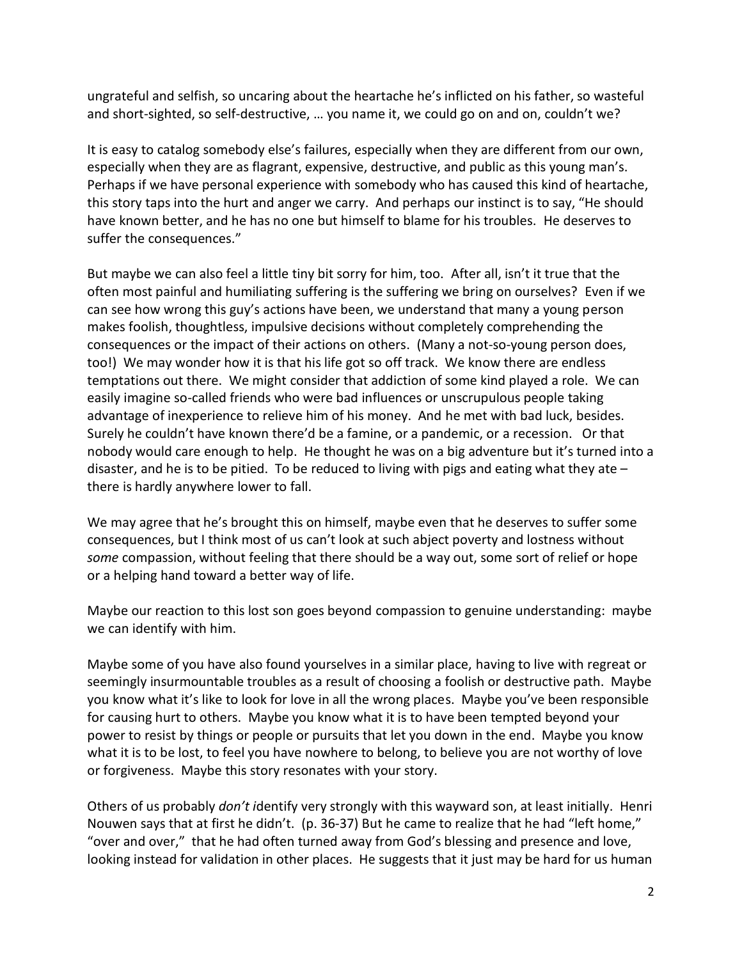ungrateful and selfish, so uncaring about the heartache he's inflicted on his father, so wasteful and short-sighted, so self-destructive, … you name it, we could go on and on, couldn't we?

It is easy to catalog somebody else's failures, especially when they are different from our own, especially when they are as flagrant, expensive, destructive, and public as this young man's. Perhaps if we have personal experience with somebody who has caused this kind of heartache, this story taps into the hurt and anger we carry. And perhaps our instinct is to say, "He should have known better, and he has no one but himself to blame for his troubles. He deserves to suffer the consequences."

But maybe we can also feel a little tiny bit sorry for him, too. After all, isn't it true that the often most painful and humiliating suffering is the suffering we bring on ourselves? Even if we can see how wrong this guy's actions have been, we understand that many a young person makes foolish, thoughtless, impulsive decisions without completely comprehending the consequences or the impact of their actions on others. (Many a not-so-young person does, too!) We may wonder how it is that his life got so off track. We know there are endless temptations out there. We might consider that addiction of some kind played a role. We can easily imagine so-called friends who were bad influences or unscrupulous people taking advantage of inexperience to relieve him of his money. And he met with bad luck, besides. Surely he couldn't have known there'd be a famine, or a pandemic, or a recession. Or that nobody would care enough to help. He thought he was on a big adventure but it's turned into a disaster, and he is to be pitied. To be reduced to living with pigs and eating what they ate  $$ there is hardly anywhere lower to fall.

We may agree that he's brought this on himself, maybe even that he deserves to suffer some consequences, but I think most of us can't look at such abject poverty and lostness without *some* compassion, without feeling that there should be a way out, some sort of relief or hope or a helping hand toward a better way of life.

Maybe our reaction to this lost son goes beyond compassion to genuine understanding: maybe we can identify with him.

Maybe some of you have also found yourselves in a similar place, having to live with regreat or seemingly insurmountable troubles as a result of choosing a foolish or destructive path. Maybe you know what it's like to look for love in all the wrong places. Maybe you've been responsible for causing hurt to others. Maybe you know what it is to have been tempted beyond your power to resist by things or people or pursuits that let you down in the end. Maybe you know what it is to be lost, to feel you have nowhere to belong, to believe you are not worthy of love or forgiveness. Maybe this story resonates with your story.

Others of us probably *don't i*dentify very strongly with this wayward son, at least initially. Henri Nouwen says that at first he didn't. (p. 36-37) But he came to realize that he had "left home," "over and over," that he had often turned away from God's blessing and presence and love, looking instead for validation in other places. He suggests that it just may be hard for us human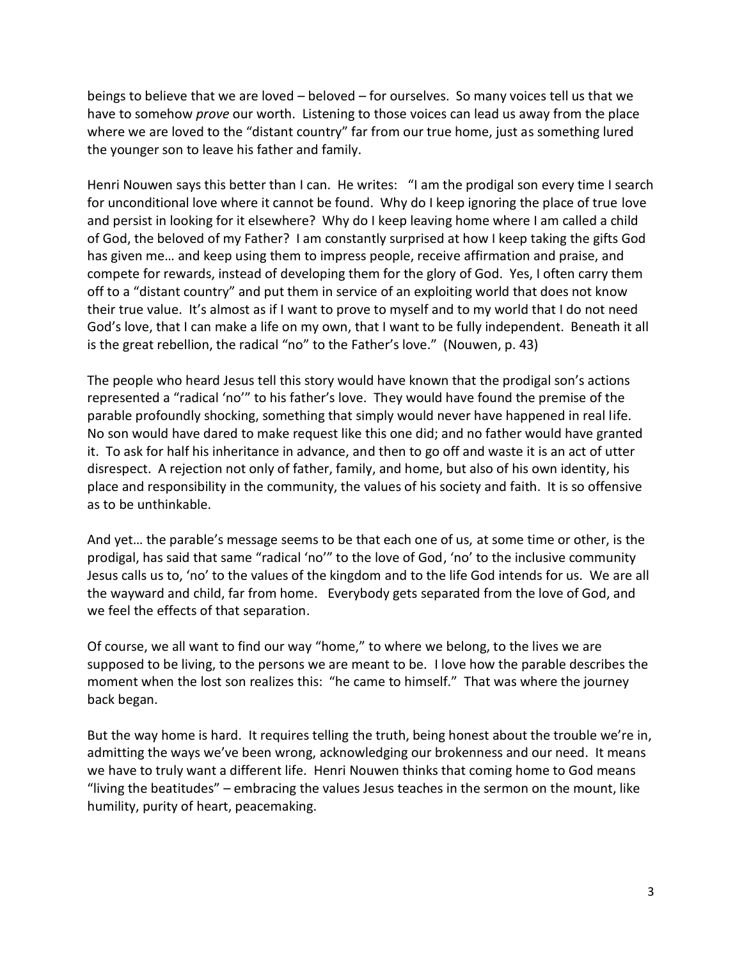beings to believe that we are loved – beloved – for ourselves. So many voices tell us that we have to somehow *prove* our worth. Listening to those voices can lead us away from the place where we are loved to the "distant country" far from our true home, just as something lured the younger son to leave his father and family.

Henri Nouwen says this better than I can. He writes: "I am the prodigal son every time I search for unconditional love where it cannot be found. Why do I keep ignoring the place of true love and persist in looking for it elsewhere? Why do I keep leaving home where I am called a child of God, the beloved of my Father? I am constantly surprised at how I keep taking the gifts God has given me… and keep using them to impress people, receive affirmation and praise, and compete for rewards, instead of developing them for the glory of God. Yes, I often carry them off to a "distant country" and put them in service of an exploiting world that does not know their true value. It's almost as if I want to prove to myself and to my world that I do not need God's love, that I can make a life on my own, that I want to be fully independent. Beneath it all is the great rebellion, the radical "no" to the Father's love." (Nouwen, p. 43)

The people who heard Jesus tell this story would have known that the prodigal son's actions represented a "radical 'no'" to his father's love. They would have found the premise of the parable profoundly shocking, something that simply would never have happened in real life. No son would have dared to make request like this one did; and no father would have granted it. To ask for half his inheritance in advance, and then to go off and waste it is an act of utter disrespect. A rejection not only of father, family, and home, but also of his own identity, his place and responsibility in the community, the values of his society and faith. It is so offensive as to be unthinkable.

And yet… the parable's message seems to be that each one of us, at some time or other, is the prodigal, has said that same "radical 'no'" to the love of God, 'no' to the inclusive community Jesus calls us to, 'no' to the values of the kingdom and to the life God intends for us. We are all the wayward and child, far from home. Everybody gets separated from the love of God, and we feel the effects of that separation.

Of course, we all want to find our way "home," to where we belong, to the lives we are supposed to be living, to the persons we are meant to be. I love how the parable describes the moment when the lost son realizes this: "he came to himself." That was where the journey back began.

But the way home is hard. It requires telling the truth, being honest about the trouble we're in, admitting the ways we've been wrong, acknowledging our brokenness and our need. It means we have to truly want a different life. Henri Nouwen thinks that coming home to God means "living the beatitudes" – embracing the values Jesus teaches in the sermon on the mount, like humility, purity of heart, peacemaking.